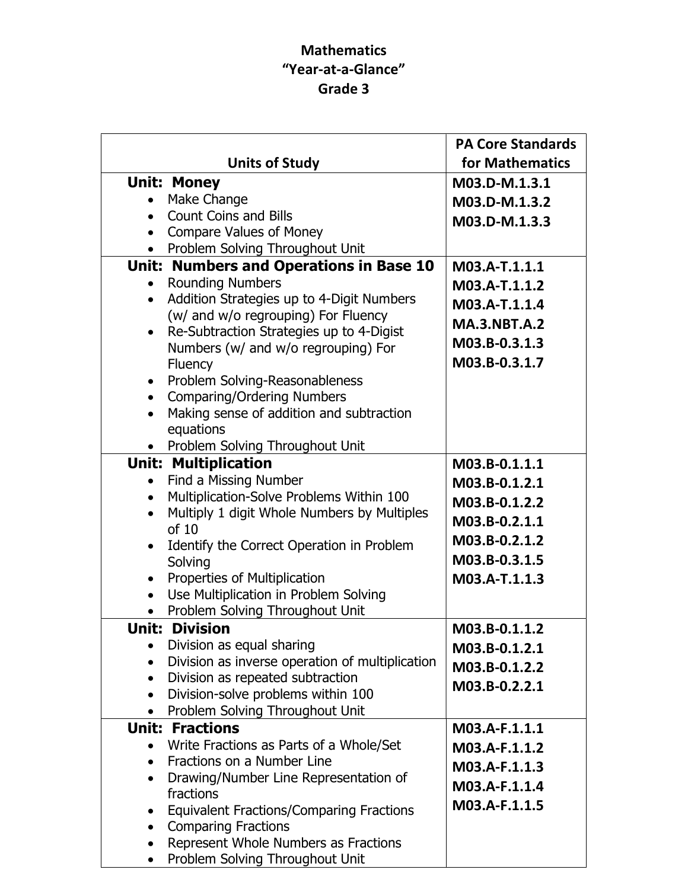## Mathematics "Year-at-a-Glance" Grade 3

|                                                                                                               | <b>PA Core Standards</b> |
|---------------------------------------------------------------------------------------------------------------|--------------------------|
| <b>Units of Study</b>                                                                                         | for Mathematics          |
| <b>Unit: Money</b>                                                                                            | M03.D-M.1.3.1            |
| Make Change                                                                                                   | M03.D-M.1.3.2            |
| <b>Count Coins and Bills</b><br>$\bullet$                                                                     | M03.D-M.1.3.3            |
| <b>Compare Values of Money</b><br>$\bullet$                                                                   |                          |
| Problem Solving Throughout Unit                                                                               |                          |
| Unit: Numbers and Operations in Base 10                                                                       | M03.A-T.1.1.1            |
| <b>Rounding Numbers</b>                                                                                       | M03.A-T.1.1.2            |
| Addition Strategies up to 4-Digit Numbers<br>$\bullet$<br>(w/ and w/o regrouping) For Fluency                 | M03.A-T.1.1.4            |
| Re-Subtraction Strategies up to 4-Digist<br>$\bullet$                                                         | <b>MA.3.NBT.A.2</b>      |
| Numbers (w/ and w/o regrouping) For                                                                           | M03.B-0.3.1.3            |
| Fluency                                                                                                       | M03.B-0.3.1.7            |
| Problem Solving-Reasonableness<br>$\bullet$                                                                   |                          |
| <b>Comparing/Ordering Numbers</b><br>$\bullet$                                                                |                          |
| Making sense of addition and subtraction<br>$\bullet$                                                         |                          |
| equations                                                                                                     |                          |
| Problem Solving Throughout Unit                                                                               |                          |
| <b>Unit: Multiplication</b>                                                                                   | M03.B-0.1.1.1            |
| Find a Missing Number<br>$\bullet$<br>Multiplication-Solve Problems Within 100<br>$\bullet$                   | M03.B-0.1.2.1            |
| Multiply 1 digit Whole Numbers by Multiples<br>$\bullet$                                                      | M03.B-0.1.2.2            |
| of 10                                                                                                         | M03.B-0.2.1.1            |
| Identify the Correct Operation in Problem                                                                     | M03.B-0.2.1.2            |
| Solving                                                                                                       | M03.B-0.3.1.5            |
| Properties of Multiplication<br>$\bullet$                                                                     | M03.A-T.1.1.3            |
| Use Multiplication in Problem Solving<br>$\bullet$                                                            |                          |
| Problem Solving Throughout Unit                                                                               |                          |
| <b>Unit: Division</b>                                                                                         | M03.B-0.1.1.2            |
| Division as equal sharing<br>$\bullet$                                                                        | M03.B-0.1.2.1            |
| Division as inverse operation of multiplication<br>$\bullet$<br>Division as repeated subtraction<br>$\bullet$ | M03.B-0.1.2.2            |
| Division-solve problems within 100<br>$\bullet$                                                               | M03.B-0.2.2.1            |
| Problem Solving Throughout Unit<br>$\bullet$                                                                  |                          |
| <b>Unit: Fractions</b>                                                                                        | M03.A-F.1.1.1            |
| Write Fractions as Parts of a Whole/Set<br>$\bullet$                                                          | M03.A-F.1.1.2            |
| Fractions on a Number Line<br>$\bullet$                                                                       | M03.A-F.1.1.3            |
| Drawing/Number Line Representation of<br>$\bullet$                                                            | M03.A-F.1.1.4            |
| fractions                                                                                                     | M03.A-F.1.1.5            |
| <b>Equivalent Fractions/Comparing Fractions</b><br>$\bullet$                                                  |                          |
| <b>Comparing Fractions</b><br>$\bullet$<br>Represent Whole Numbers as Fractions<br>$\bullet$                  |                          |
| Problem Solving Throughout Unit<br>$\bullet$                                                                  |                          |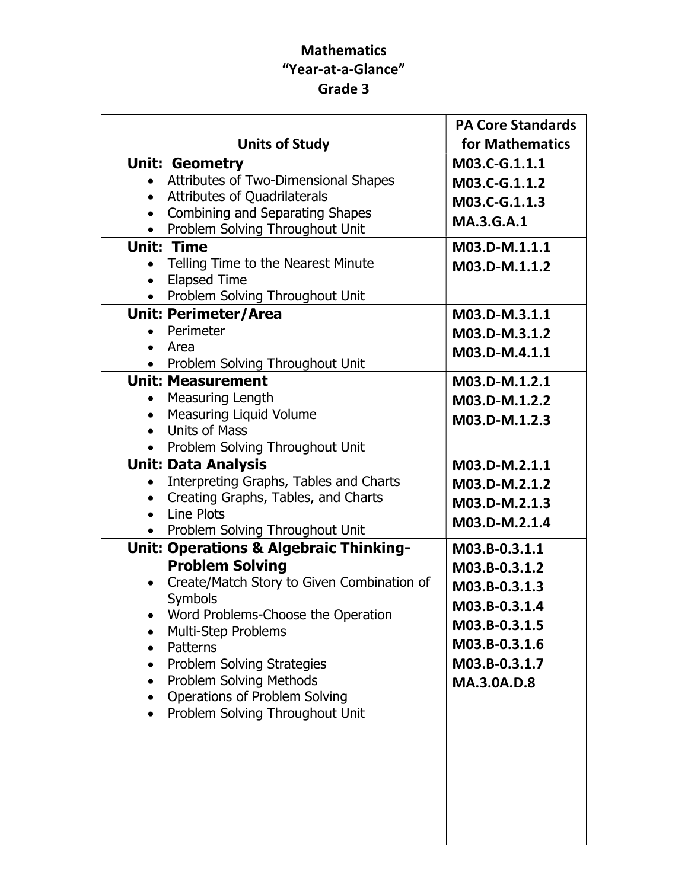## Mathematics "Year-at-a-Glance" Grade 3

|                                                                                                         | <b>PA Core Standards</b> |
|---------------------------------------------------------------------------------------------------------|--------------------------|
| <b>Units of Study</b>                                                                                   | for Mathematics          |
| <b>Unit: Geometry</b>                                                                                   | M03.C-G.1.1.1            |
| • Attributes of Two-Dimensional Shapes                                                                  | M03.C-G.1.1.2            |
| Attributes of Quadrilaterals<br>$\bullet$                                                               | M03.C-G.1.1.3            |
| Combining and Separating Shapes<br>$\bullet$                                                            | <b>MA.3.G.A.1</b>        |
| Problem Solving Throughout Unit<br>$\bullet$                                                            |                          |
| <b>Unit: Time</b>                                                                                       | M03.D-M.1.1.1            |
| Telling Time to the Nearest Minute<br>$\bullet$<br><b>Elapsed Time</b>                                  | M03.D-M.1.1.2            |
| $\bullet$<br>Problem Solving Throughout Unit<br>$\bullet$                                               |                          |
| <b>Unit: Perimeter/Area</b>                                                                             | M03.D-M.3.1.1            |
| Perimeter                                                                                               | M03.D-M.3.1.2            |
| Area<br>$\bullet$                                                                                       | M03.D-M.4.1.1            |
| • Problem Solving Throughout Unit                                                                       |                          |
| <b>Unit: Measurement</b>                                                                                | M03.D-M.1.2.1            |
| • Measuring Length                                                                                      | M03.D-M.1.2.2            |
| <b>Measuring Liquid Volume</b><br>$\bullet$                                                             | M03.D-M.1.2.3            |
| <b>Units of Mass</b><br>$\bullet$                                                                       |                          |
| • Problem Solving Throughout Unit                                                                       |                          |
| <b>Unit: Data Analysis</b>                                                                              | M03.D-M.2.1.1            |
| Interpreting Graphs, Tables and Charts<br>$\bullet$<br>Creating Graphs, Tables, and Charts<br>$\bullet$ | M03.D-M.2.1.2            |
| • Line Plots                                                                                            | M03.D-M.2.1.3            |
| • Problem Solving Throughout Unit                                                                       | M03.D-M.2.1.4            |
| <b>Unit: Operations &amp; Algebraic Thinking-</b>                                                       | M03.B-0.3.1.1            |
| <b>Problem Solving</b>                                                                                  | M03.B-0.3.1.2            |
| Create/Match Story to Given Combination of<br>$\bullet$                                                 | M03.B-0.3.1.3            |
| Symbols                                                                                                 | M03.B-0.3.1.4            |
| Word Problems-Choose the Operation                                                                      | M03.B-0.3.1.5            |
| Multi-Step Problems                                                                                     | M03.B-0.3.1.6            |
| Patterns<br>Problem Solving Strategies                                                                  | M03.B-0.3.1.7            |
| $\bullet$<br>Problem Solving Methods<br>$\bullet$                                                       | <b>MA.3.0A.D.8</b>       |
| Operations of Problem Solving                                                                           |                          |
| Problem Solving Throughout Unit                                                                         |                          |
|                                                                                                         |                          |
|                                                                                                         |                          |
|                                                                                                         |                          |
|                                                                                                         |                          |
|                                                                                                         |                          |
|                                                                                                         |                          |
|                                                                                                         |                          |